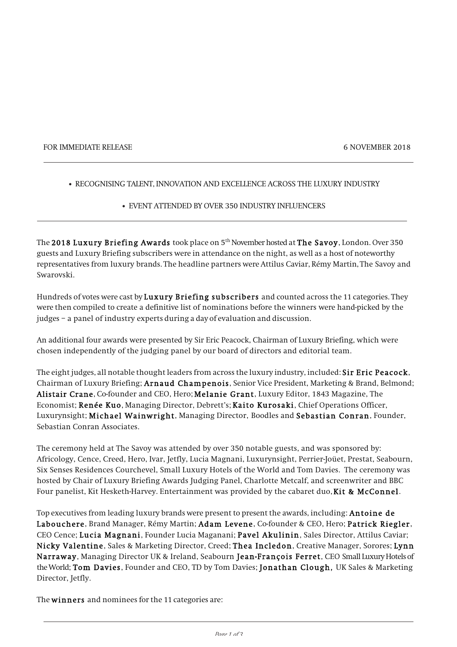#### FOR IMMEDIATE RELEASE 6 NOVEMBER 2018

### • RECOGNISING TALENT, INNOVATION AND EXCELLENCE ACROSS THE LUXURY INDUSTRY

## • EVENT ATTENDED BY OVER 350 INDUSTRY INFLUENCERS

The 2018 Luxury Briefing Awards took place on 5<sup>th</sup> November hosted at The Savoy, London. Over 350 guests and Luxury Briefing subscribers were in attendance on the night, as well as a host of noteworthy representatives from luxury brands. The headline partners were Attilus Caviar, Rémy Martin, The Savoy and Swarovski.

Hundreds of votes were cast by Luxury Briefing subscribers and counted across the 11 categories. They were then compiled to create a definitive list of nominations before the winners were hand-picked by the judges – a panel of industry experts during a day of evaluation and discussion.

An additional four awards were presented by Sir Eric Peacock, Chairman of Luxury Briefing, which were chosen independently of the judging panel by our board of directors and editorial team.

The eight judges, all notable thought leaders from across the luxury industry, included: Sir Eric Peacock, Chairman of Luxury Briefing; Arnaud Champenois, Senior Vice President, Marketing & Brand, Belmond; Alistair Crane, Co-founder and CEO, Hero; Melanie Grant, Luxury Editor, 1843 Magazine, The Economist; Renée Kuo, Managing Director, Debrett's; Kaito Kurosaki, Chief Operations Officer, Luxurynsight; Michael Wainwright, Managing Director, Boodles and Sebastian Conran, Founder, Sebastian Conran Associates.

The ceremony held at The Savoy was attended by over 350 notable guests, and was sponsored by: Africology, Cence, Creed, Hero, Ivar, Jetfly, Lucia Magnani, Luxurynsight, Perrier-Joüet, Prestat, Seabourn, Six Senses Residences Courchevel, Small Luxury Hotels of the World and Tom Davies. The ceremony was hosted by Chair of Luxury Briefing Awards Judging Panel, Charlotte Metcalf, and screenwriter and BBC Four panelist, Kit Hesketh-Harvey. Entertainment was provided by the cabaret duo, Kit & McConnel.

Top executives from leading luxury brands were present to present the awards, including: **Antoine de** Labouchere, Brand Manager, Rémy Martin; Adam Levene, Co-founder & CEO, Hero; Patrick Riegler, CEO Cence; Lucia Magnani, Founder Lucia Maganani; Pavel Akulinin, Sales Director, Attilus Caviar; Nicky Valentine, Sales & Marketing Director, Creed; Thea Incledon, Creative Manager, Sorores; Lynn Narraway, Managing Director UK & Ireland, Seabourn Jean-François Ferret, CEO Small Luxury Hotels of the World; Tom Davies, Founder and CEO, TD by Tom Davies; Jonathan Clough, UK Sales & Marketing Director, Jetfly.

The winners and nominees for the 11 categories are: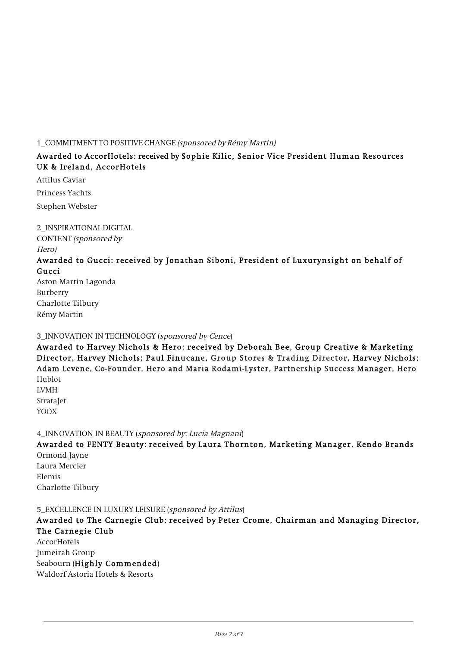### 1\_COMMITMENT TO POSITIVE CHANGE (sponsored by Rémy Martin)

# Awarded to AccorHotels: received by Sophie Kilic, Senior Vice President Human Resources UK & Ireland, AccorHotels

Attilus Caviar Princess Yachts Stephen Webster

2\_INSPIRATIONAL DIGITAL CONTENT (sponsored by Hero)

# Awarded to Gucci: received by Jonathan Siboni, President of Luxurynsight on behalf of Gucci

Aston Martin Lagonda Burberry Charlotte Tilbury Rémy Martin

# 3\_INNOVATION IN TECHNOLOGY (sponsored by Cence)

Awarded to Harvey Nichols & Hero: received by Deborah Bee, Group Creative & Marketing Director, Harvey Nichols; Paul Finucane, Group Stores & Trading Director, Harvey Nichols; Adam Levene, Co-Founder, Hero and Maria Rodami-Lyster, Partnership Success Manager, Hero Hublot LVMH

**StrataJet** YOOX

4\_INNOVATION IN BEAUTY (sponsored by: Lucia Magnani)

Awarded to FENTY Beauty: received by Laura Thornton, Marketing Manager, Kendo Brands Ormond Jayne

Laura Mercier Elemis Charlotte Tilbury

5\_EXCELLENCE IN LUXURY LEISURE (sponsored by Attilus)

Awarded to The Carnegie Club: received by Peter Crome, Chairman and Managing Director, The Carnegie Club

AccorHotels Jumeirah Group Seabourn (Highly Commended) Waldorf Astoria Hotels & Resorts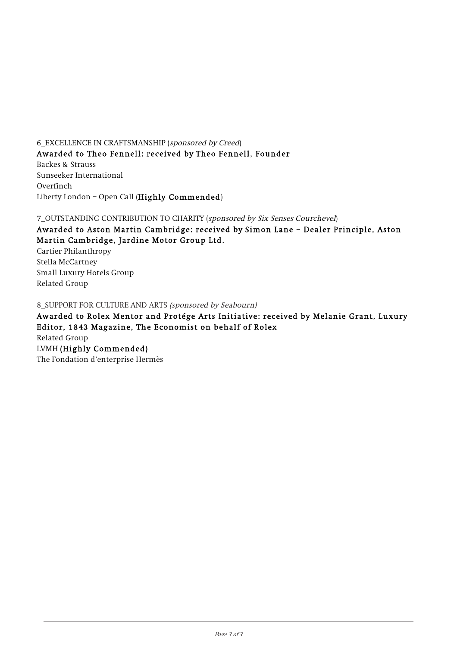6\_EXCELLENCE IN CRAFTSMANSHIP (sponsored by Creed)

Awarded to Theo Fennell: received by Theo Fennell, Founder Backes & Strauss Sunseeker International Overfinch Liberty London – Open Call (Highly Commended)

7\_OUTSTANDING CONTRIBUTION TO CHARITY (sponsored by Six Senses Courchevel)

Awarded to Aston Martin Cambridge: received by Simon Lane – Dealer Principle, Aston Martin Cambridge, Jardine Motor Group Ltd.

Cartier Philanthropy Stella McCartney Small Luxury Hotels Group Related Group

8\_SUPPORT FOR CULTURE AND ARTS (sponsored by Seabourn)

Awarded to Rolex Mentor and Protége Arts Initiative: received by Melanie Grant, Luxury Editor, 1843 Magazine, The Economist on behalf of Rolex Related Group LVMH (Highly Commended) The Fondation d'enterprise Hermès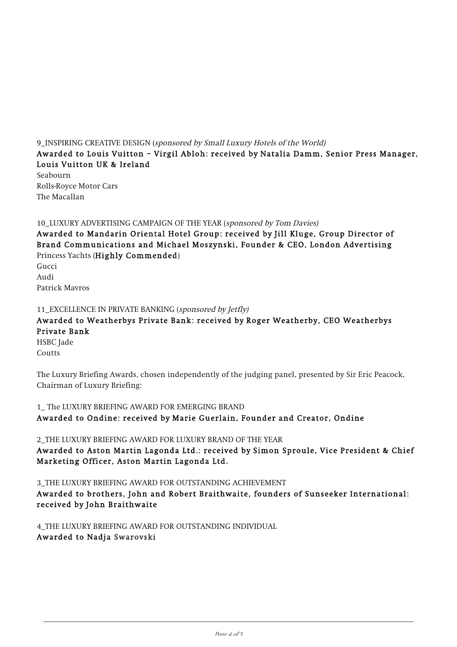# 9 INSPIRING CREATIVE DESIGN (sponsored by Small Luxury Hotels of the World)

# Awarded to Louis Vuitton – Virgil Abloh: received by Natalia Damm, Senior Press Manager, Louis Vuitton UK & Ireland

Seabourn Rolls-Royce Motor Cars The Macallan

# 10\_LUXURY ADVERTISING CAMPAIGN OF THE YEAR (sponsored by Tom Davies)

Awarded to Mandarin Oriental Hotel Group: received by Jill Kluge, Group Director of Brand Communications and Michael Moszynski, Founder & CEO, London Advertising Princess Yachts (Highly Commended)

Gucci Audi Patrick Mavros

# 11\_EXCELLENCE IN PRIVATE BANKING (sponsored by Jetfly)

# Awarded to Weatherbys Private Bank: received by Roger Weatherby, CEO Weatherbys Private Bank

HSBC Jade **Coutts** 

The Luxury Briefing Awards, chosen independently of the judging panel, presented by Sir Eric Peacock, Chairman of Luxury Briefing:

1\_ The LUXURY BRIEFING AWARD FOR EMERGING BRAND Awarded to Ondine: received by Marie Guerlain, Founder and Creator, Ondine

2\_THE LUXURY BRIEFING AWARD FOR LUXURY BRAND OF THE YEAR Awarded to Aston Martin Lagonda Ltd.: received by Simon Sproule, Vice President & Chief Marketing Officer, Aston Martin Lagonda Ltd.

3\_THE LUXURY BRIEFING AWARD FOR OUTSTANDING ACHIEVEMENT Awarded to brothers, John and Robert Braithwaite, founders of Sunseeker International: received by John Braithwaite

4\_THE LUXURY BRIEFING AWARD FOR OUTSTANDING INDIVIDUAL Awarded to Nadja Swarovski